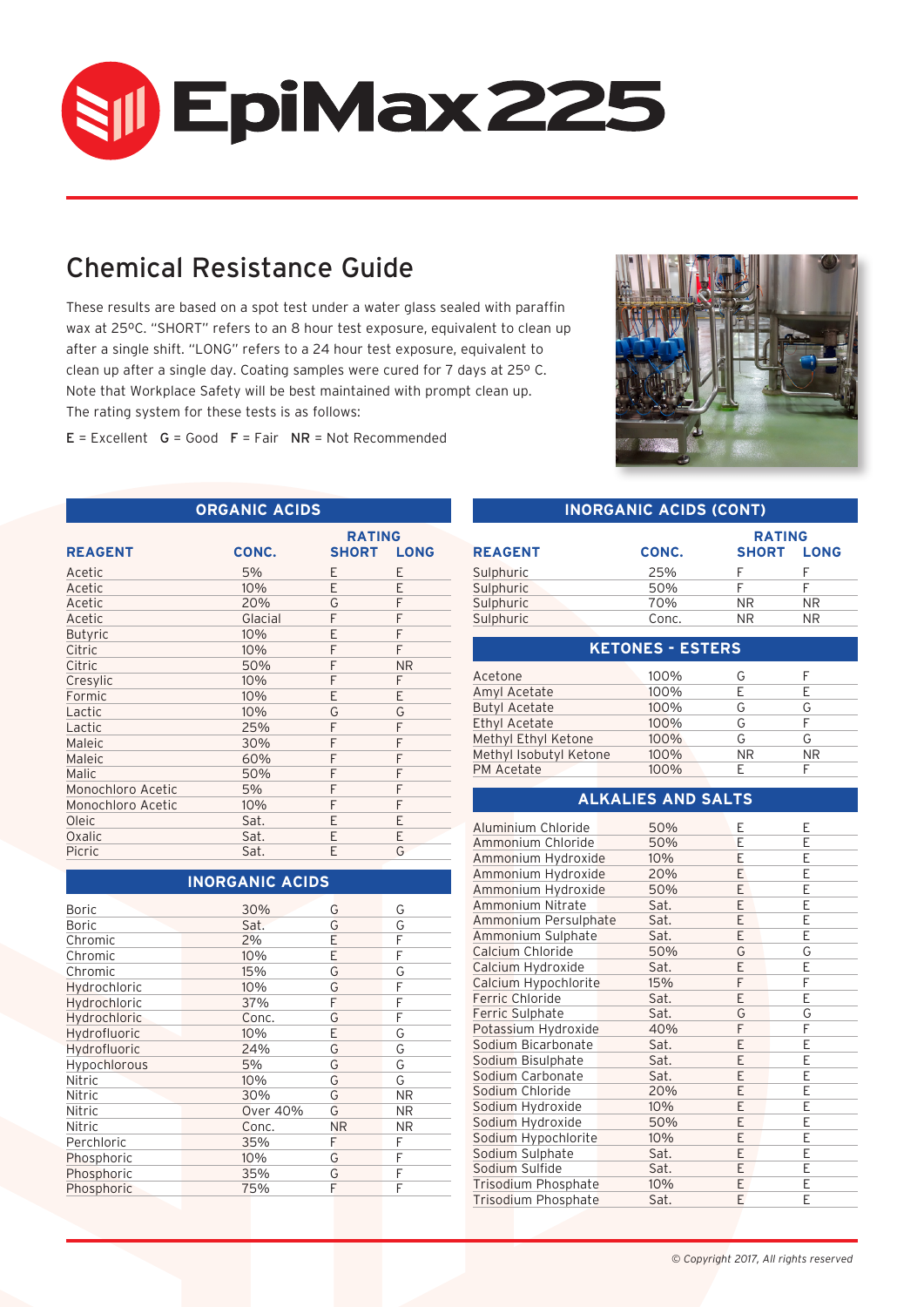

# Chemical Resistance Guide

These results are based on a spot test under a water glass sealed with paraffin wax at 25ºC. "SHORT" refers to an 8 hour test exposure, equivalent to clean up after a single shift. "LONG" refers to a 24 hour test exposure, equivalent to clean up after a single day. Coating samples were cured for 7 days at 25º C. Note that Workplace Safety will be best maintained with prompt clean up. The rating system for these tests is as follows:

 $E = Excellent$   $G = Good$   $F = Fair$   $NR = Not$  Recommended

**ORGANIC ACIDS**



#### **INORGANIC ACIDS (CONT)**

|                   |         | <b>RATING</b> |                   |
|-------------------|---------|---------------|-------------------|
| <b>REAGENT</b>    | CONC.   |               | <b>SHORT LONG</b> |
| Acetic            | 5%      | F             | F                 |
| Acetic            | 10%     | E             | F                 |
| Acetic            | 20%     | G             | F                 |
| Acetic            | Glacial | F             | F                 |
| <b>Butyric</b>    | 10%     | E             | F                 |
| Citric            | 10%     | F             | F                 |
| Citric            | 50%     | F             | <b>NR</b>         |
| Cresylic          | 10%     | F             | F                 |
| Formic            | 10%     | F             | E                 |
| Lactic            | 10%     | G             | G                 |
| Lactic            | 25%     | F             | F                 |
| Maleic            | 30%     | F             | F                 |
| Maleic            | 60%     | F             | F                 |
| Malic             | 50%     | F             | F                 |
| Monochloro Acetic | 5%      | F             | F                 |
| Monochloro Acetic | 10%     | F             | F                 |
| Oleic             | Sat.    | F             | F                 |
| Oxalic            | Sat.    | F             | F                 |
| Picric            | Sat.    | F             | G                 |

## **INORGANIC ACIDS**

| <b>Boric</b> | 30%             | G         | G  |
|--------------|-----------------|-----------|----|
| <b>Boric</b> | Sat.            | G         | G  |
| Chromic      | 2%              | Е         | F  |
| Chromic      | 10%             | E         | F  |
| Chromic      | 15%             | G         | G  |
| Hydrochloric | 10%             | G         | F  |
| Hydrochloric | 37%             | F         | F  |
| Hydrochloric | Conc.           | G         | F  |
| Hydrofluoric | 10%             | E         | G  |
| Hydrofluoric | 24%             | G         | G  |
| Hypochlorous | 5%              | G         | G  |
| Nitric       | 10%             | G         | G  |
| Nitric       | 30%             | G         | ΝR |
| Nitric       | <b>Over 40%</b> | G         | ΝR |
| Nitric       | Conc.           | <b>NR</b> | ΝR |
| Perchloric   | 35%             | F         | F  |
| Phosphoric   | 10%             | G         | F  |
| Phosphoric   | 35%             | G         | F  |
| Phosphoric   | 75%             | F         | F  |
|              |                 |           |    |

|                |       | <b>RATING</b> |             |  |
|----------------|-------|---------------|-------------|--|
| <b>REAGENT</b> | CONC. | <b>SHORT</b>  | <b>LONG</b> |  |
| Sulphuric      | 25%   |               |             |  |
| Sulphuric      | 50%   |               |             |  |
| Sulphuric      | 70%   | NR.           | NR.         |  |
| Sulphuric      | Conc. | NR.           | ΝR          |  |

| <b>KETONES - ESTERS</b> |      |           |     |  |  |
|-------------------------|------|-----------|-----|--|--|
| Acetone                 | 100% | G         |     |  |  |
| Amyl Acetate            | 100% |           |     |  |  |
| <b>Butyl Acetate</b>    | 100% | G         | G   |  |  |
| Ethyl Acetate           | 100% | G         |     |  |  |
| Methyl Ethyl Ketone     | 100% | G         | G   |  |  |
| Methyl Isobutyl Ketone  | 100% | <b>NR</b> | NR. |  |  |
| PM Acetate              | 100% |           |     |  |  |

## **ALKALIES AND SALTS**

| Aluminium Chloride   | 50%  | E | E |
|----------------------|------|---|---|
| Ammonium Chloride    | 50%  | F | F |
| Ammonium Hydroxide   | 10%  | E | E |
| Ammonium Hydroxide   | 20%  | E | E |
| Ammonium Hydroxide   | 50%  | E | E |
| Ammonium Nitrate     | Sat. | E | E |
| Ammonium Persulphate | Sat. | E | E |
| Ammonium Sulphate    | Sat. | E | Е |
| Calcium Chloride     | 50%  | G | G |
| Calcium Hydroxide    | Sat. | E | Е |
| Calcium Hypochlorite | 15%  | F | F |
| Ferric Chloride      | Sat. | Ε | Е |
| Ferric Sulphate      | Sat. | G | G |
| Potassium Hydroxide  | 40%  | F | F |
| Sodium Bicarbonate   | Sat. | E | E |
| Sodium Bisulphate    | Sat. | E | E |
| Sodium Carbonate     | Sat. | E | E |
| Sodium Chloride      | 20%  | E | E |
| Sodium Hydroxide     | 10%  | E | E |
| Sodium Hydroxide     | 50%  | E | E |
| Sodium Hypochlorite  | 10%  | E | E |
| Sodium Sulphate      | Sat. | E | E |
| Sodium Sulfide       | Sat. | E | E |
| Trisodium Phosphate  | 10%  | E | E |
| Trisodium Phosphate  | Sat. | E | E |